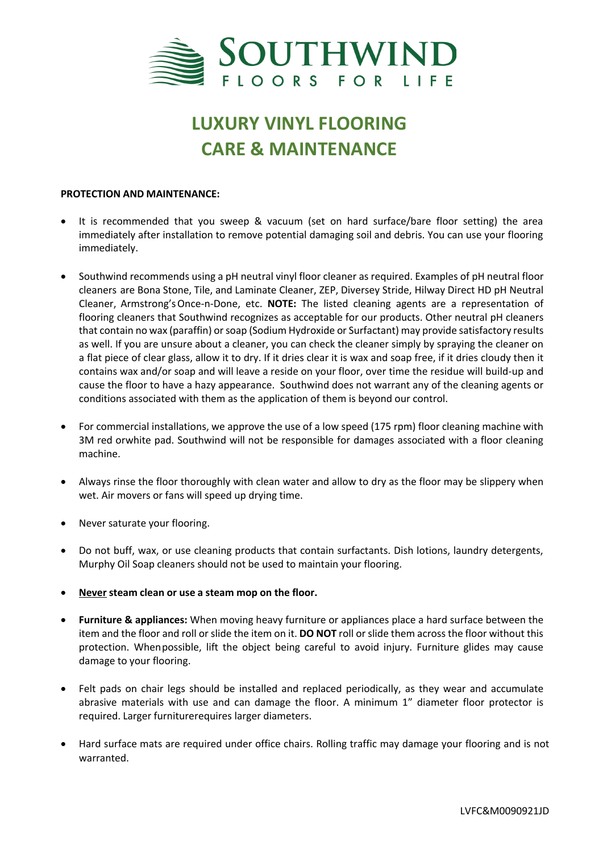

## **LUXURY VINYL FLOORING CARE & MAINTENANCE**

## **PROTECTION AND MAINTENANCE:**

- It is recommended that you sweep & vacuum (set on hard surface/bare floor setting) the area immediately after installation to remove potential damaging soil and debris. You can use your flooring immediately.
- Southwind recommends using a pH neutral vinyl floor cleaner as required. Examples of pH neutral floor cleaners are Bona Stone, Tile, and Laminate Cleaner, ZEP, Diversey Stride, Hilway Direct HD pH Neutral Cleaner, Armstrong'sOnce-n-Done, etc. **NOTE:** The listed cleaning agents are a representation of flooring cleaners that Southwind recognizes as acceptable for our products. Other neutral pH cleaners that contain no wax (paraffin) or soap (Sodium Hydroxide or Surfactant) may provide satisfactory results as well. If you are unsure about a cleaner, you can check the cleaner simply by spraying the cleaner on a flat piece of clear glass, allow it to dry. If it dries clear it is wax and soap free, if it dries cloudy then it contains wax and/or soap and will leave a reside on your floor, over time the residue will build-up and cause the floor to have a hazy appearance. Southwind does not warrant any of the cleaning agents or conditions associated with them as the application of them is beyond our control.
- For commercial installations, we approve the use of a low speed (175 rpm) floor cleaning machine with 3M red orwhite pad. Southwind will not be responsible for damages associated with a floor cleaning machine.
- Always rinse the floor thoroughly with clean water and allow to dry as the floor may be slippery when wet. Air movers or fans will speed up drying time.
- Never saturate your flooring.
- Do not buff, wax, or use cleaning products that contain surfactants. Dish lotions, laundry detergents, Murphy Oil Soap cleaners should not be used to maintain your flooring.
- **Never steam clean or use a steam mop on the floor.**
- **Furniture & appliances:** When moving heavy furniture or appliances place a hard surface between the item and the floor and roll or slide the item on it. **DO NOT** roll or slide them across the floor without this protection. Whenpossible, lift the object being careful to avoid injury. Furniture glides may cause damage to your flooring.
- Felt pads on chair legs should be installed and replaced periodically, as they wear and accumulate abrasive materials with use and can damage the floor. A minimum 1" diameter floor protector is required. Larger furniturerequires larger diameters.
- Hard surface mats are required under office chairs. Rolling traffic may damage your flooring and is not warranted.